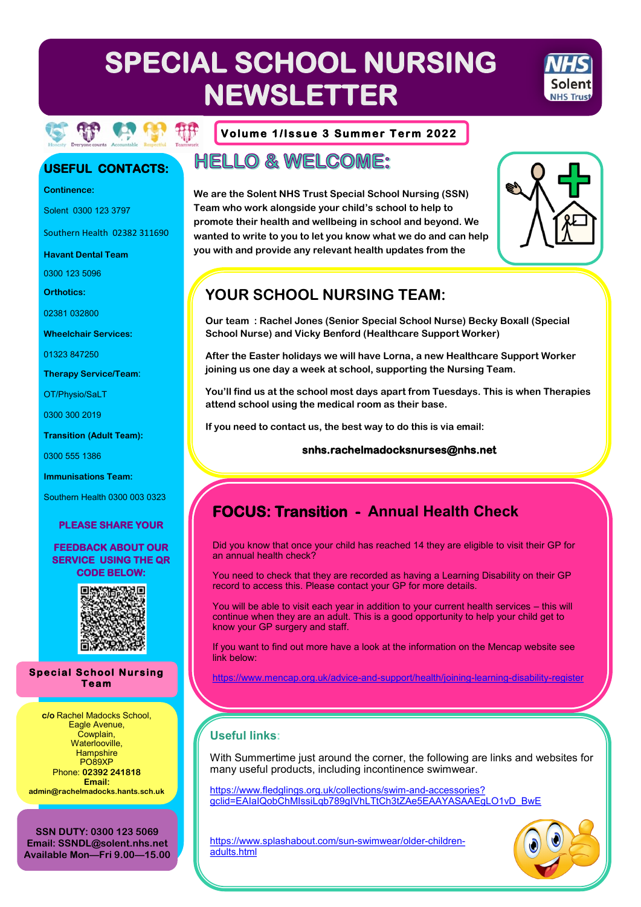# **SPECIAL SCHOOL NURSING** MHS **NEWSLETTER**



### **USEFUL CONTACTS:**

**Continence:**

Solent 0300 123 3797

Southern Health 02382 311690

**Havant Dental Team** 

0300 123 5096

**Orthotics:**

02381 032800

**Wheelchair Services:**

01323 847250

**Therapy Service/Team**:

OT/Physio/SaLT

0300 300 2019

**Transition (Adult Team):**

0300 555 1386

**Immunisations Team:**

Southern Health 0300 003 0323

#### **PLEASE SHARE YOUR**

#### **FEEDBACK ABOUT OUR SERVICE USING THE QR CODE BELOW:**



**Special School Nursing Te a m** 

**c/o** Rachel Madocks School, Eagle Avenue, Cowplain, Waterlooville. **Hampshire** PO89XP Phone: **02392 241818 Email: admin@rachelmadocks.hants.sch.uk**

**SSN DUTY: 0300 123 5069 Email: SSNDL@solent.nhs.net Available Mon—Fri 9.00—15.00**

#### **Volume 1/Issue 3 Summer Term 2022**

### **HELLO & WELCOME:**

**We are the Solent NHS Trust Special School Nursing (SSN) Team who work alongside your child's school to help to promote their health and wellbeing in school and beyond. We wanted to write to you to let you know what we do and can help you with and provide any relevant health updates from the** 



### **YOUR SCHOOL NURSING TEAM:**

**Our team : Rachel Jones (Senior Special School Nurse) Becky Boxall (Special School Nurse) and Vicky Benford (Healthcare Support Worker)**

**After the Easter holidays we will have Lorna, a new Healthcare Support Worker joining us one day a week at school, supporting the Nursing Team.**

**You'll find us at the school most days apart from Tuesdays. This is when Therapies attend school using the medical room as their base.**

**If you need to contact us, the best way to do this is via email:**

#### **snhs.rachelmadocksnurses@nhs.net**

## **FOCUS: Transition - Annual Health Check**

Did you know that once your child has reached 14 they are eligible to visit their GP for an annual health check?

You need to check that they are recorded as having a Learning Disability on their GP record to access this. Please contact your GP for more details.

You will be able to visit each year in addition to your current health services – this will continue when they are an adult. This is a good opportunity to help your child get to know your GP surgery and staff.

If you want to find out more have a look at the information on the Mencap website see link below:

[https://www.mencap.org.uk/advice](https://www.mencap.org.uk/advice-and-support/health/joining-learning-disability-register)-and-support/health/joining-learning-disability-register

### **Useful links:**

With Summertime just around the corner, the following are links and websites for many useful products, including incontinence swimwear.

[https://www.fledglings.org.uk/collections/swim](https://www.fledglings.org.uk/collections/swim-and-accessories?gclid=EAIaIQobChMIssiLqb789gIVhLTtCh3tZAe5EAAYASAAEgLO1vD_BwE)-and-accessories? [gclid=EAIaIQobChMIssiLqb789gIVhLTtCh3tZAe5EAAYASAAEgLO1vD\\_BwE](https://www.fledglings.org.uk/collections/swim-and-accessories?gclid=EAIaIQobChMIssiLqb789gIVhLTtCh3tZAe5EAAYASAAEgLO1vD_BwE)

[https://www.splashabout.com/sun](https://www.splashabout.com/sun-swimwear/older-children-adults.html)-swimwear/older-children[adults.html](https://www.splashabout.com/sun-swimwear/older-children-adults.html)